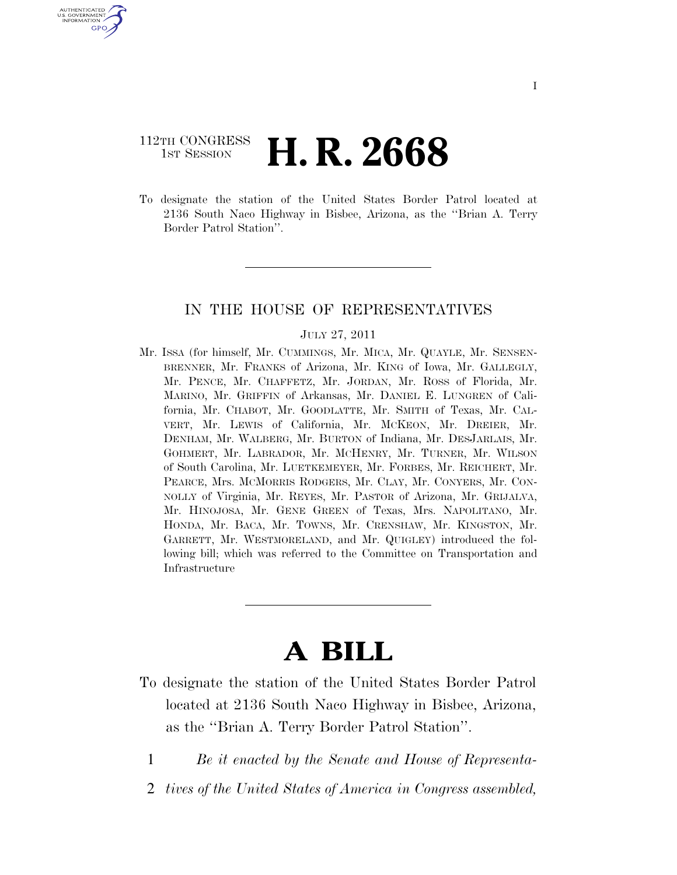# 112TH CONGRESS **1st Session H. R. 2668**

U.S. GOVERNMENT GPO

> To designate the station of the United States Border Patrol located at 2136 South Naco Highway in Bisbee, Arizona, as the ''Brian A. Terry Border Patrol Station''.

#### IN THE HOUSE OF REPRESENTATIVES

#### JULY 27, 2011

Mr. ISSA (for himself, Mr. CUMMINGS, Mr. MICA, Mr. QUAYLE, Mr. SENSEN-BRENNER, Mr. FRANKS of Arizona, Mr. KING of Iowa, Mr. GALLEGLY, Mr. PENCE, Mr. CHAFFETZ, Mr. JORDAN, Mr. ROSS of Florida, Mr. MARINO, Mr. GRIFFIN of Arkansas, Mr. DANIEL E. LUNGREN of California, Mr. CHABOT, Mr. GOODLATTE, Mr. SMITH of Texas, Mr. CAL-VERT, Mr. LEWIS of California, Mr. MCKEON, Mr. DREIER, Mr. DENHAM, Mr. WALBERG, Mr. BURTON of Indiana, Mr. DESJARLAIS, Mr. GOHMERT, Mr. LABRADOR, Mr. MCHENRY, Mr. TURNER, Mr. WILSON of South Carolina, Mr. LUETKEMEYER, Mr. FORBES, Mr. REICHERT, Mr. PEARCE, Mrs. MCMORRIS RODGERS, Mr. CLAY, Mr. CONYERS, Mr. CON-NOLLY of Virginia, Mr. REYES, Mr. PASTOR of Arizona, Mr. GRIJALVA, Mr. HINOJOSA, Mr. GENE GREEN of Texas, Mrs. NAPOLITANO, Mr. HONDA, Mr. BACA, Mr. TOWNS, Mr. CRENSHAW, Mr. KINGSTON, Mr. GARRETT, Mr. WESTMORELAND, and Mr. QUIGLEY) introduced the following bill; which was referred to the Committee on Transportation and Infrastructure

# **A BILL**

- To designate the station of the United States Border Patrol located at 2136 South Naco Highway in Bisbee, Arizona, as the ''Brian A. Terry Border Patrol Station''.
	- 1 *Be it enacted by the Senate and House of Representa-*
	- 2 *tives of the United States of America in Congress assembled,*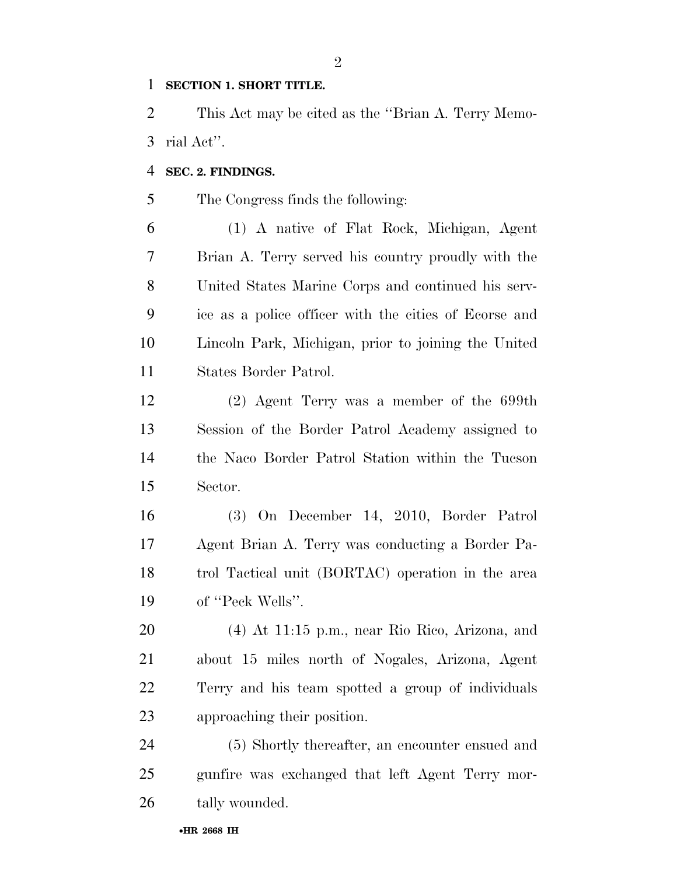#### **SECTION 1. SHORT TITLE.**

 This Act may be cited as the ''Brian A. Terry Memo-rial Act''.

#### **SEC. 2. FINDINGS.**

The Congress finds the following:

 (1) A native of Flat Rock, Michigan, Agent Brian A. Terry served his country proudly with the United States Marine Corps and continued his serv- ice as a police officer with the cities of Ecorse and Lincoln Park, Michigan, prior to joining the United States Border Patrol.

 (2) Agent Terry was a member of the 699th Session of the Border Patrol Academy assigned to the Naco Border Patrol Station within the Tucson Sector.

 (3) On December 14, 2010, Border Patrol Agent Brian A. Terry was conducting a Border Pa- trol Tactical unit (BORTAC) operation in the area 19 of "Peck Wells".

 (4) At 11:15 p.m., near Rio Rico, Arizona, and about 15 miles north of Nogales, Arizona, Agent Terry and his team spotted a group of individuals approaching their position.

 (5) Shortly thereafter, an encounter ensued and gunfire was exchanged that left Agent Terry mor-tally wounded.